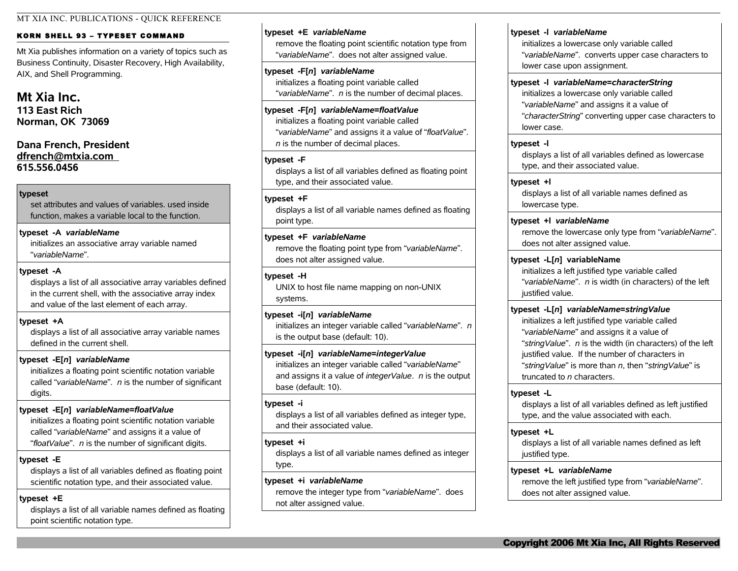#### MT XIA INC. PUBLICATIONS - QUICK REFERENCE

#### KORN SHELL 93 - TYPESET COMMAND

Mt Xia publishes information on a variety of topics such as Business Continuity, Disaster Recovery, High Availability, AIX, and Shell Programming.

# **Mt Xia Inc.**

**113 East Rich Norman, OK 73069**

## **Dana French, President [dfrench@mtxia.com](mailto:dfrench@mtxia.com)  615.556.0456**

#### **typeset**

set attributes and values of variables. used inside function, makes a variable local to the function.

#### **typeset -A** *variableName*

initializes an associative array variable named "*variableName*".

### **typeset -A**

displays a list of all associative array variables defined in the current shell, with the associative array index and value of the last element of each array.

#### **typeset +A**

displays a list of all associative array variable names defined in the current shell.

### **typeset -E[***n***]** *variableName*

initializes a floating point scientific notation variable called "*variableName*". *n* is the number of significant digits.

### **typeset -E[***n***]** *variableName***=***floatValue*

initializes a floating point scientific notation variable called "*variableName*" and assigns it a value of "*floatValue*". *n* is the number of significant digits.

#### **typeset -E**

displays a list of all variables defined as floating point scientific notation type, and their associated value.

### **typeset +E**

displays a list of all variable names defined as floating point scientific notation type.

#### **typeset +E** *variableName*

remove the floating point scientific notation type from "*variableName*". does not alter assigned value.

## **typeset -F[***n***]** *variableName*

initializes a floating point variable called "*variableName*". *n* is the number of decimal places.

### **typeset -F[***n***]** *variableName***=***floatValue* initializes a floating point variable called "*variableName*" and assigns it a value of "*floatValue*". *n* is the number of decimal places.

#### **typeset -F**

displays a list of all variables defined as floating point type, and their associated value.

#### **typeset +F**

displays a list of all variable names defined as floating point type.

### **typeset +F** *variableName*

remove the floating point type from "*variableName*". does not alter assigned value.

#### **typeset -H**

UNIX to host file name mapping on non-UNIX systems.

### **typeset -i[***n***]** *variableName*

initializes an integer variable called "*variableName*". *n* is the output base (default: 10).

### **typeset -i[***n***]** *variableName***=***integerValue*

initializes an integer variable called "*variableName*" and assigns it a value of *integerValue*. *n* is the output base (default: 10).

#### **typeset -i**

displays a list of all variables defined as integer type, and their associated value.

#### **typeset +i**

displays a list of all variable names defined as integer type.

### **typeset +i** *variableName*

remove the integer type from "*variableName*". does not alter assigned value.

#### **typeset -l** *variableName*

initializes a lowercase only variable called "*variableName*". converts upper case characters to lower case upon assignment.

#### **typeset -l** *variableName***=***characterString*

initializes a lowercase only variable called "*variableName*" and assigns it a value of "*characterString*" converting upper case characters to lower case.

### **typeset -l**

displays a list of all variables defined as lowercase type, and their associated value.

### **typeset +l**

displays a list of all variable names defined as lowercase type.

## **typeset +l** *variableName*

remove the lowercase only type from "*variableName*". does not alter assigned value.

#### **typeset -L[***n***] variableName**

initializes a left justified type variable called "*variableName*". *n* is width (in characters) of the left justified value.

### **typeset -L[***n***]** *variableName***=***stringValue*

initializes a left justified type variable called "*variableName*" and assigns it a value of "*stringValue*". *n* is the width (in characters) of the left justified value. If the number of characters in "*stringValue*" is more than *n*, then "*stringValue*" is truncated to *n* characters.

#### **typeset -L**

displays a list of all variables defined as left justified type, and the value associated with each.

### **typeset +L**

displays a list of all variable names defined as left justified type.

### **typeset +L** *variableName*

remove the left justified type from "*variableName*". does not alter assigned value.